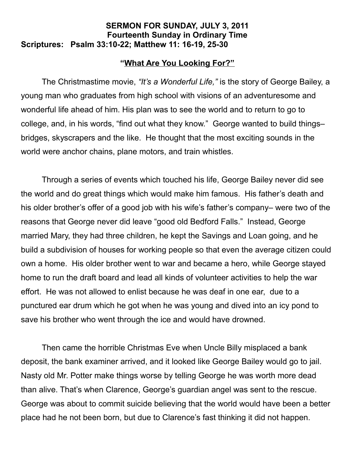## **SERMON FOR SUNDAY, JULY 3, 2011 Fourteenth Sunday in Ordinary Time Scriptures: Psalm 33:10-22; Matthew 11: 16-19, 25-30**

## **"What Are You Looking For?"**

The Christmastime movie, *"It's a Wonderful Life,"* is the story of George Bailey, a young man who graduates from high school with visions of an adventuresome and wonderful life ahead of him. His plan was to see the world and to return to go to college, and, in his words, "find out what they know." George wanted to build things– bridges, skyscrapers and the like. He thought that the most exciting sounds in the world were anchor chains, plane motors, and train whistles.

Through a series of events which touched his life, George Bailey never did see the world and do great things which would make him famous. His father's death and his older brother's offer of a good job with his wife's father's company– were two of the reasons that George never did leave "good old Bedford Falls." Instead, George married Mary, they had three children, he kept the Savings and Loan going, and he build a subdivision of houses for working people so that even the average citizen could own a home. His older brother went to war and became a hero, while George stayed home to run the draft board and lead all kinds of volunteer activities to help the war effort. He was not allowed to enlist because he was deaf in one ear, due to a punctured ear drum which he got when he was young and dived into an icy pond to save his brother who went through the ice and would have drowned.

Then came the horrible Christmas Eve when Uncle Billy misplaced a bank deposit, the bank examiner arrived, and it looked like George Bailey would go to jail. Nasty old Mr. Potter make things worse by telling George he was worth more dead than alive. That's when Clarence, George's guardian angel was sent to the rescue. George was about to commit suicide believing that the world would have been a better place had he not been born, but due to Clarence's fast thinking it did not happen.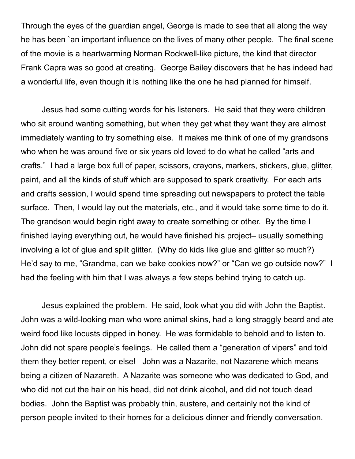Through the eyes of the guardian angel, George is made to see that all along the way he has been `an important influence on the lives of many other people. The final scene of the movie is a heartwarming Norman Rockwell-like picture, the kind that director Frank Capra was so good at creating. George Bailey discovers that he has indeed had a wonderful life, even though it is nothing like the one he had planned for himself.

Jesus had some cutting words for his listeners. He said that they were children who sit around wanting something, but when they get what they want they are almost immediately wanting to try something else. It makes me think of one of my grandsons who when he was around five or six years old loved to do what he called "arts and crafts." I had a large box full of paper, scissors, crayons, markers, stickers, glue, glitter, paint, and all the kinds of stuff which are supposed to spark creativity. For each arts and crafts session, I would spend time spreading out newspapers to protect the table surface. Then, I would lay out the materials, etc., and it would take some time to do it. The grandson would begin right away to create something or other. By the time I finished laying everything out, he would have finished his project– usually something involving a lot of glue and spilt glitter. (Why do kids like glue and glitter so much?) He'd say to me, "Grandma, can we bake cookies now?" or "Can we go outside now?" I had the feeling with him that I was always a few steps behind trying to catch up.

Jesus explained the problem. He said, look what you did with John the Baptist. John was a wild-looking man who wore animal skins, had a long straggly beard and ate weird food like locusts dipped in honey. He was formidable to behold and to listen to. John did not spare people's feelings. He called them a "generation of vipers" and told them they better repent, or else! John was a Nazarite, not Nazarene which means being a citizen of Nazareth. A Nazarite was someone who was dedicated to God, and who did not cut the hair on his head, did not drink alcohol, and did not touch dead bodies. John the Baptist was probably thin, austere, and certainly not the kind of person people invited to their homes for a delicious dinner and friendly conversation.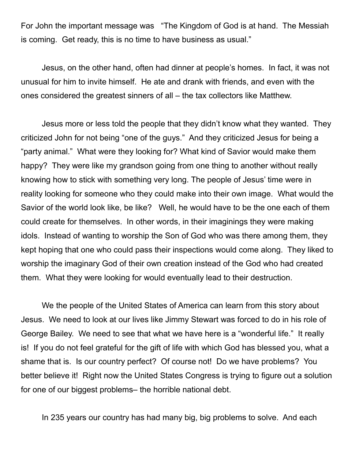For John the important message was "The Kingdom of God is at hand. The Messiah is coming. Get ready, this is no time to have business as usual."

Jesus, on the other hand, often had dinner at people's homes. In fact, it was not unusual for him to invite himself. He ate and drank with friends, and even with the ones considered the greatest sinners of all – the tax collectors like Matthew.

Jesus more or less told the people that they didn't know what they wanted. They criticized John for not being "one of the guys." And they criticized Jesus for being a "party animal." What were they looking for? What kind of Savior would make them happy? They were like my grandson going from one thing to another without really knowing how to stick with something very long. The people of Jesus' time were in reality looking for someone who they could make into their own image. What would the Savior of the world look like, be like? Well, he would have to be the one each of them could create for themselves. In other words, in their imaginings they were making idols. Instead of wanting to worship the Son of God who was there among them, they kept hoping that one who could pass their inspections would come along. They liked to worship the imaginary God of their own creation instead of the God who had created them. What they were looking for would eventually lead to their destruction.

We the people of the United States of America can learn from this story about Jesus. We need to look at our lives like Jimmy Stewart was forced to do in his role of George Bailey. We need to see that what we have here is a "wonderful life." It really is! If you do not feel grateful for the gift of life with which God has blessed you, what a shame that is. Is our country perfect? Of course not! Do we have problems? You better believe it! Right now the United States Congress is trying to figure out a solution for one of our biggest problems– the horrible national debt.

In 235 years our country has had many big, big problems to solve. And each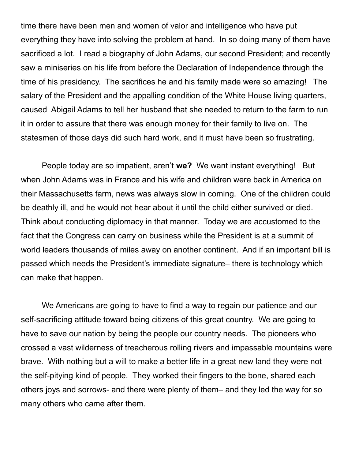time there have been men and women of valor and intelligence who have put everything they have into solving the problem at hand. In so doing many of them have sacrificed a lot. I read a biography of John Adams, our second President; and recently saw a miniseries on his life from before the Declaration of Independence through the time of his presidency. The sacrifices he and his family made were so amazing! The salary of the President and the appalling condition of the White House living quarters, caused Abigail Adams to tell her husband that she needed to return to the farm to run it in order to assure that there was enough money for their family to live on. The statesmen of those days did such hard work, and it must have been so frustrating.

People today are so impatient, aren't **we?** We want instant everything! But when John Adams was in France and his wife and children were back in America on their Massachusetts farm, news was always slow in coming. One of the children could be deathly ill, and he would not hear about it until the child either survived or died. Think about conducting diplomacy in that manner. Today we are accustomed to the fact that the Congress can carry on business while the President is at a summit of world leaders thousands of miles away on another continent. And if an important bill is passed which needs the President's immediate signature– there is technology which can make that happen.

We Americans are going to have to find a way to regain our patience and our self-sacrificing attitude toward being citizens of this great country. We are going to have to save our nation by being the people our country needs. The pioneers who crossed a vast wilderness of treacherous rolling rivers and impassable mountains were brave. With nothing but a will to make a better life in a great new land they were not the self-pitying kind of people. They worked their fingers to the bone, shared each others joys and sorrows- and there were plenty of them– and they led the way for so many others who came after them.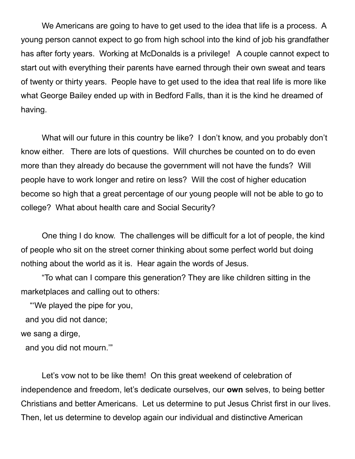We Americans are going to have to get used to the idea that life is a process. A young person cannot expect to go from high school into the kind of job his grandfather has after forty years. Working at McDonalds is a privilege! A couple cannot expect to start out with everything their parents have earned through their own sweat and tears of twenty or thirty years. People have to get used to the idea that real life is more like what George Bailey ended up with in Bedford Falls, than it is the kind he dreamed of having.

What will our future in this country be like? I don't know, and you probably don't know either. There are lots of questions. Will churches be counted on to do even more than they already do because the government will not have the funds? Will people have to work longer and retire on less? Will the cost of higher education become so high that a great percentage of our young people will not be able to go to college? What about health care and Social Security?

One thing I do know. The challenges will be difficult for a lot of people, the kind of people who sit on the street corner thinking about some perfect world but doing nothing about the world as it is. Hear again the words of Jesus.

"To what can I compare this generation? They are like children sitting in the marketplaces and calling out to others:

"'We played the pipe for you,

and you did not dance;

we sang a dirge,

and you did not mourn.'"

Let's vow not to be like them! On this great weekend of celebration of independence and freedom, let's dedicate ourselves, our **own** selves, to being better Christians and better Americans. Let us determine to put Jesus Christ first in our lives. Then, let us determine to develop again our individual and distinctive American